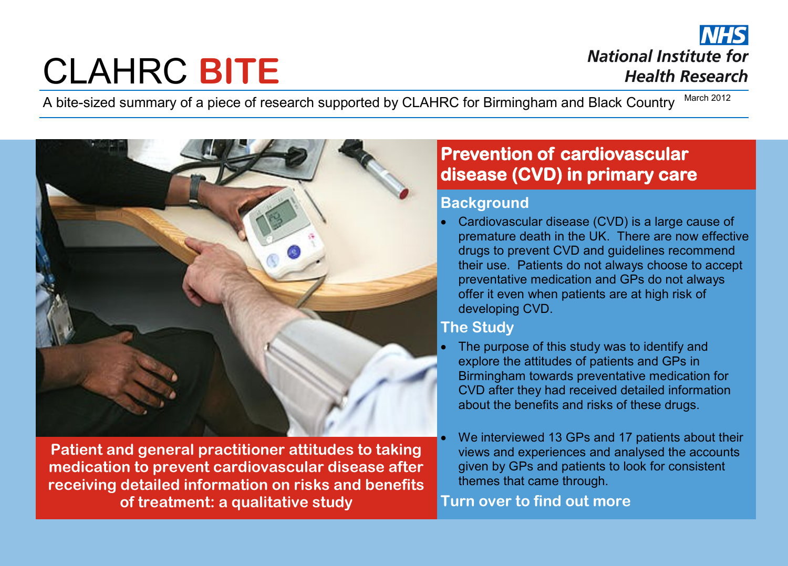# CLAHRC **BITE**

**NHS National Institute for Health Research** 

A bite-sized summary of a piece of research supported by CLAHRC for Birmingham and Black Country March 2012



**Patient and general practitioner attitudes to taking medication to prevent cardiovascular disease after receiving detailed information on risks and benefits of treatment: a qualitative study**

# **Prevention of cardiovascular disease (CVD) in primary care**

#### **Background**

 Cardiovascular disease (CVD) is a large cause of premature death in the UK. There are now effective drugs to prevent CVD and guidelines recommend their use. Patients do not always choose to accept preventative medication and GPs do not always offer it even when patients are at high risk of developing CVD.

## **The Study**

- The purpose of this study was to identify and explore the attitudes of patients and GPs in Birmingham towards preventative medication for CVD after they had received detailed information about the benefits and risks of these drugs.
- We interviewed 13 GPs and 17 patients about their views and experiences and analysed the accounts given by GPs and patients to look for consistent themes that came through.

## **Turn over to find out more**